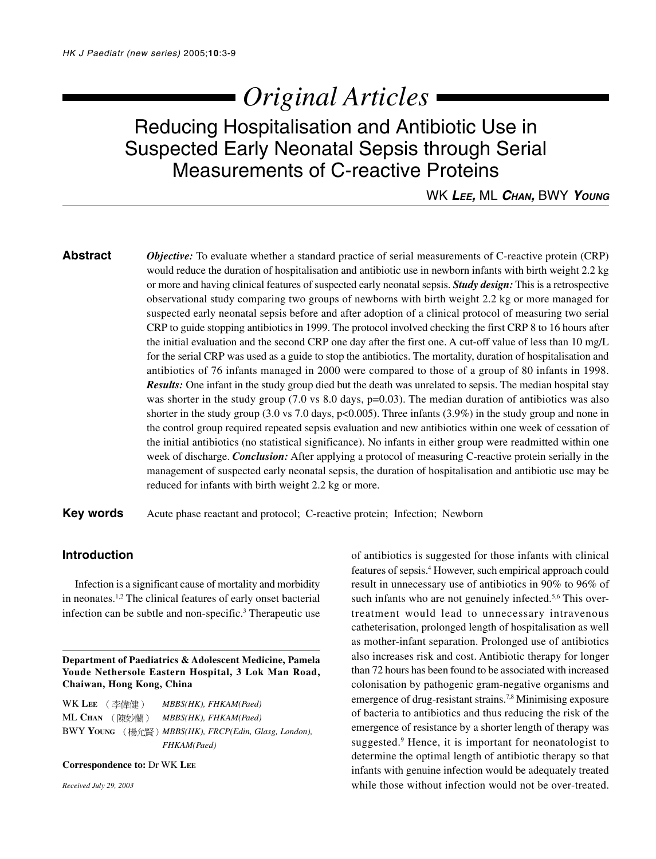# *Original Articles*

## Reducing Hospitalisation and Antibiotic Use in Suspected Early Neonatal Sepsis through Serial Measurements of C-reactive Proteins

WK **LEE,** ML **CHAN,** BWY **YOUNG**

**Abstract** *Objective:* To evaluate whether a standard practice of serial measurements of C-reactive protein (CRP) would reduce the duration of hospitalisation and antibiotic use in newborn infants with birth weight 2.2 kg or more and having clinical features of suspected early neonatal sepsis. *Study design:* This is a retrospective observational study comparing two groups of newborns with birth weight 2.2 kg or more managed for suspected early neonatal sepsis before and after adoption of a clinical protocol of measuring two serial CRP to guide stopping antibiotics in 1999. The protocol involved checking the first CRP 8 to 16 hours after the initial evaluation and the second CRP one day after the first one. A cut-off value of less than 10 mg/L for the serial CRP was used as a guide to stop the antibiotics. The mortality, duration of hospitalisation and antibiotics of 76 infants managed in 2000 were compared to those of a group of 80 infants in 1998. *Results:* One infant in the study group died but the death was unrelated to sepsis. The median hospital stay was shorter in the study group (7.0 vs 8.0 days, p=0.03). The median duration of antibiotics was also shorter in the study group (3.0 vs 7.0 days, p<0.005). Three infants (3.9%) in the study group and none in the control group required repeated sepsis evaluation and new antibiotics within one week of cessation of the initial antibiotics (no statistical significance). No infants in either group were readmitted within one week of discharge. *Conclusion:* After applying a protocol of measuring C-reactive protein serially in the management of suspected early neonatal sepsis, the duration of hospitalisation and antibiotic use may be reduced for infants with birth weight 2.2 kg or more.

**Key words** Acute phase reactant and protocol; C-reactive protein; Infection; Newborn

### **Introduction**

Infection is a significant cause of mortality and morbidity in neonates.1,2 The clinical features of early onset bacterial infection can be subtle and non-specific.<sup>3</sup> Therapeutic use

**Department of Paediatrics & Adolescent Medicine, Pamela Youde Nethersole Eastern Hospital, 3 Lok Man Road, Chaiwan, Hong Kong, China**

WK LEE (李偉健) MBBS(HK), FHKAM(Paed) ML CHAN (陳妙蘭) MBBS(HK), FHKAM(Paed) BWY **YOUNG** *MBBS(HK), FRCP(Edin, Glasg, London), FHKAM(Paed)*

#### **Correspondence to:** Dr WK **LEE**

*Received July 29, 2003*

of antibiotics is suggested for those infants with clinical features of sepsis.4 However, such empirical approach could result in unnecessary use of antibiotics in 90% to 96% of such infants who are not genuinely infected.<sup>5,6</sup> This overtreatment would lead to unnecessary intravenous catheterisation, prolonged length of hospitalisation as well as mother-infant separation. Prolonged use of antibiotics also increases risk and cost. Antibiotic therapy for longer than 72 hours has been found to be associated with increased colonisation by pathogenic gram-negative organisms and emergence of drug-resistant strains.7,8 Minimising exposure of bacteria to antibiotics and thus reducing the risk of the emergence of resistance by a shorter length of therapy was suggested.<sup>9</sup> Hence, it is important for neonatologist to determine the optimal length of antibiotic therapy so that infants with genuine infection would be adequately treated while those without infection would not be over-treated.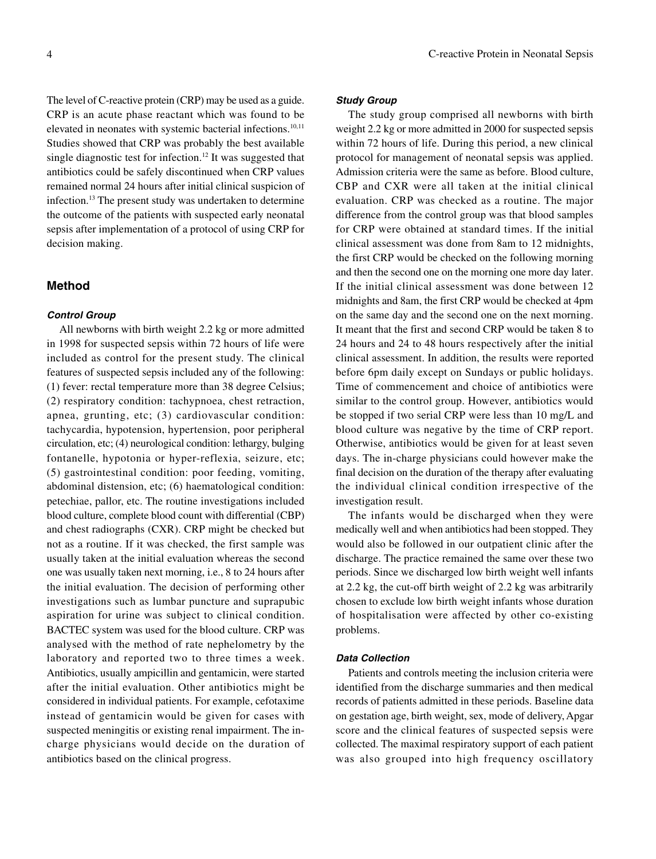The level of C-reactive protein (CRP) may be used as a guide. CRP is an acute phase reactant which was found to be elevated in neonates with systemic bacterial infections.10,11 Studies showed that CRP was probably the best available single diagnostic test for infection.12 It was suggested that antibiotics could be safely discontinued when CRP values remained normal 24 hours after initial clinical suspicion of infection.13 The present study was undertaken to determine the outcome of the patients with suspected early neonatal sepsis after implementation of a protocol of using CRP for decision making.

#### **Method**

#### **Control Group**

All newborns with birth weight 2.2 kg or more admitted in 1998 for suspected sepsis within 72 hours of life were included as control for the present study. The clinical features of suspected sepsis included any of the following: (1) fever: rectal temperature more than 38 degree Celsius; (2) respiratory condition: tachypnoea, chest retraction, apnea, grunting, etc; (3) cardiovascular condition: tachycardia, hypotension, hypertension, poor peripheral circulation, etc; (4) neurological condition: lethargy, bulging fontanelle, hypotonia or hyper-reflexia, seizure, etc; (5) gastrointestinal condition: poor feeding, vomiting, abdominal distension, etc; (6) haematological condition: petechiae, pallor, etc. The routine investigations included blood culture, complete blood count with differential (CBP) and chest radiographs (CXR). CRP might be checked but not as a routine. If it was checked, the first sample was usually taken at the initial evaluation whereas the second one was usually taken next morning, i.e., 8 to 24 hours after the initial evaluation. The decision of performing other investigations such as lumbar puncture and suprapubic aspiration for urine was subject to clinical condition. BACTEC system was used for the blood culture. CRP was analysed with the method of rate nephelometry by the laboratory and reported two to three times a week. Antibiotics, usually ampicillin and gentamicin, were started after the initial evaluation. Other antibiotics might be considered in individual patients. For example, cefotaxime instead of gentamicin would be given for cases with suspected meningitis or existing renal impairment. The incharge physicians would decide on the duration of antibiotics based on the clinical progress.

#### **Study Group**

The study group comprised all newborns with birth weight 2.2 kg or more admitted in 2000 for suspected sepsis within 72 hours of life. During this period, a new clinical protocol for management of neonatal sepsis was applied. Admission criteria were the same as before. Blood culture, CBP and CXR were all taken at the initial clinical evaluation. CRP was checked as a routine. The major difference from the control group was that blood samples for CRP were obtained at standard times. If the initial clinical assessment was done from 8am to 12 midnights, the first CRP would be checked on the following morning and then the second one on the morning one more day later. If the initial clinical assessment was done between 12 midnights and 8am, the first CRP would be checked at 4pm on the same day and the second one on the next morning. It meant that the first and second CRP would be taken 8 to 24 hours and 24 to 48 hours respectively after the initial clinical assessment. In addition, the results were reported before 6pm daily except on Sundays or public holidays. Time of commencement and choice of antibiotics were similar to the control group. However, antibiotics would be stopped if two serial CRP were less than 10 mg/L and blood culture was negative by the time of CRP report. Otherwise, antibiotics would be given for at least seven days. The in-charge physicians could however make the final decision on the duration of the therapy after evaluating the individual clinical condition irrespective of the investigation result.

The infants would be discharged when they were medically well and when antibiotics had been stopped. They would also be followed in our outpatient clinic after the discharge. The practice remained the same over these two periods. Since we discharged low birth weight well infants at 2.2 kg, the cut-off birth weight of 2.2 kg was arbitrarily chosen to exclude low birth weight infants whose duration of hospitalisation were affected by other co-existing problems.

#### **Data Collection**

Patients and controls meeting the inclusion criteria were identified from the discharge summaries and then medical records of patients admitted in these periods. Baseline data on gestation age, birth weight, sex, mode of delivery, Apgar score and the clinical features of suspected sepsis were collected. The maximal respiratory support of each patient was also grouped into high frequency oscillatory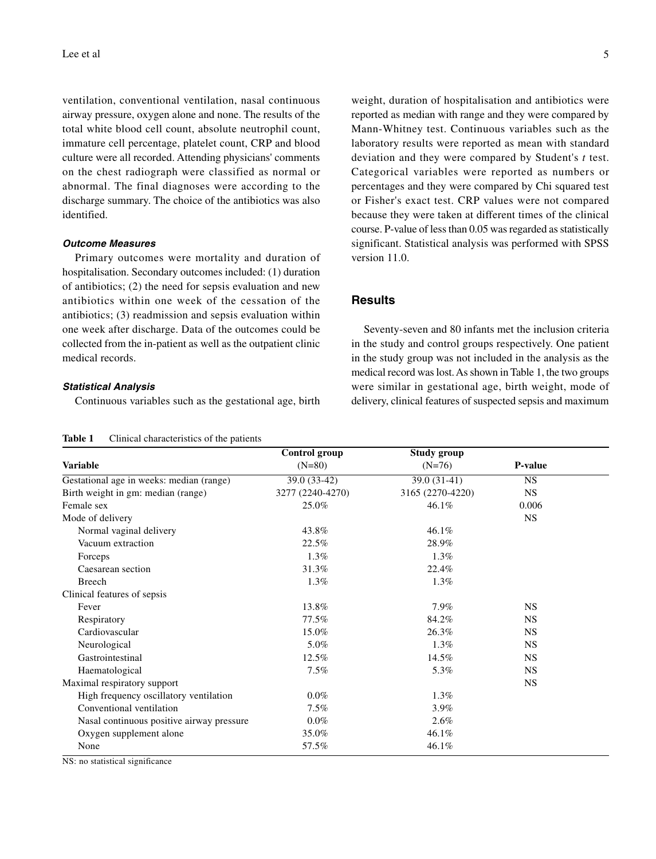ventilation, conventional ventilation, nasal continuous airway pressure, oxygen alone and none. The results of the total white blood cell count, absolute neutrophil count, immature cell percentage, platelet count, CRP and blood culture were all recorded. Attending physicians' comments on the chest radiograph were classified as normal or abnormal. The final diagnoses were according to the discharge summary. The choice of the antibiotics was also identified.

#### **Outcome Measures**

Primary outcomes were mortality and duration of hospitalisation. Secondary outcomes included: (1) duration of antibiotics; (2) the need for sepsis evaluation and new antibiotics within one week of the cessation of the antibiotics; (3) readmission and sepsis evaluation within one week after discharge. Data of the outcomes could be collected from the in-patient as well as the outpatient clinic medical records.

#### **Statistical Analysis**

Continuous variables such as the gestational age, birth

| Table 1 | Clinical characteristics of the patients |  |
|---------|------------------------------------------|--|
|---------|------------------------------------------|--|

weight, duration of hospitalisation and antibiotics were reported as median with range and they were compared by Mann-Whitney test. Continuous variables such as the laboratory results were reported as mean with standard deviation and they were compared by Student's *t* test. Categorical variables were reported as numbers or percentages and they were compared by Chi squared test or Fisher's exact test. CRP values were not compared because they were taken at different times of the clinical course. P-value of less than 0.05 was regarded as statistically significant. Statistical analysis was performed with SPSS version 11.0.

#### **Results**

Seventy-seven and 80 infants met the inclusion criteria in the study and control groups respectively. One patient in the study group was not included in the analysis as the medical record was lost. As shown in Table 1, the two groups were similar in gestational age, birth weight, mode of delivery, clinical features of suspected sepsis and maximum

|                                           | Control group    | <b>Study group</b> |           |
|-------------------------------------------|------------------|--------------------|-----------|
| <b>Variable</b>                           | $(N=80)$         | $(N=76)$           | P-value   |
| Gestational age in weeks: median (range)  | 39.0 (33-42)     | $39.0(31-41)$      | <b>NS</b> |
| Birth weight in gm: median (range)        | 3277 (2240-4270) | 3165 (2270-4220)   | <b>NS</b> |
| Female sex                                | 25.0%            | 46.1%              | 0.006     |
| Mode of delivery                          |                  |                    | <b>NS</b> |
| Normal vaginal delivery                   | 43.8%            | 46.1%              |           |
| Vacuum extraction                         | 22.5%            | 28.9%              |           |
| Forceps                                   | $1.3\%$          | $1.3\%$            |           |
| Caesarean section                         | 31.3%            | 22.4%              |           |
| <b>Breech</b>                             | $1.3\%$          | $1.3\%$            |           |
| Clinical features of sepsis               |                  |                    |           |
| Fever                                     | 13.8%            | 7.9%               | <b>NS</b> |
| Respiratory                               | 77.5%            | 84.2%              | <b>NS</b> |
| Cardiovascular                            | 15.0%            | 26.3%              | <b>NS</b> |
| Neurological                              | 5.0%             | 1.3%               | <b>NS</b> |
| Gastrointestinal                          | 12.5%            | 14.5%              | <b>NS</b> |
| Haematological                            | $7.5\%$          | 5.3%               | <b>NS</b> |
| Maximal respiratory support               |                  |                    | <b>NS</b> |
| High frequency oscillatory ventilation    | $0.0\%$          | 1.3%               |           |
| Conventional ventilation                  | $7.5\%$          | 3.9%               |           |
| Nasal continuous positive airway pressure | $0.0\%$          | 2.6%               |           |
| Oxygen supplement alone                   | 35.0%            | 46.1%              |           |
| None                                      | 57.5%            | 46.1%              |           |

NS: no statistical significance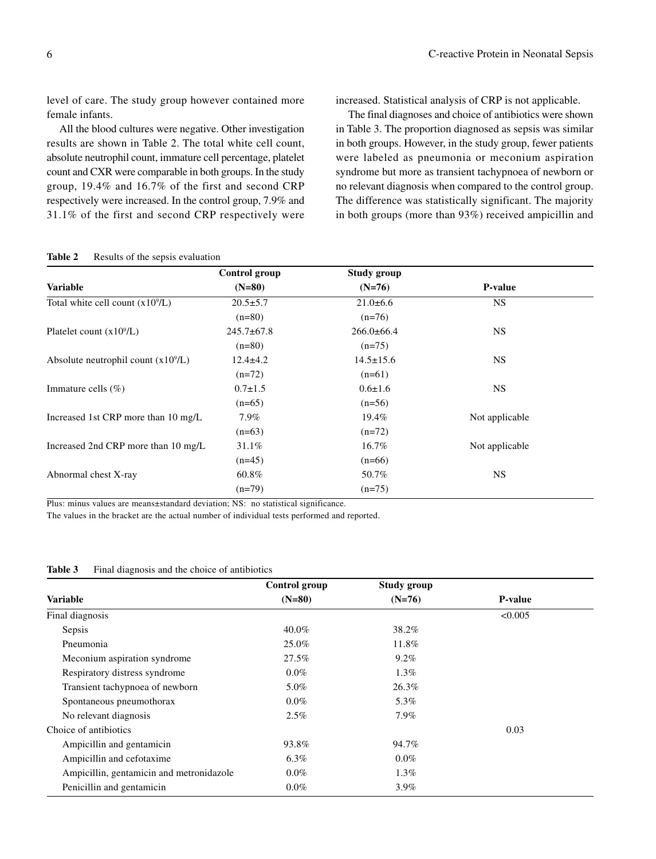level of care. The study group however contained more female infants.

All the blood cultures were negative. Other investigation results are shown in Table 2. The total white cell count, absolute neutrophil count, immature cell percentage, platelet count and CXR were comparable in both groups. In the study group, 19.4% and 16.7% of the first and second CRP respectively were increased. In the control group, 7.9% and 31.1% of the first and second CRP respectively were increased. Statistical analysis of CRP is not applicable.

The final diagnoses and choice of antibiotics were shown in Table 3. The proportion diagnosed as sepsis was similar in both groups. However, in the study group, fewer patients were labeled as pneumonia or meconium aspiration syndrome but more as transient tachypnoea of newborn or no relevant diagnosis when compared to the control group. The difference was statistically significant. The majority in both groups (more than 93%) received ampicillin and

|                                       | Control group    | <b>Study group</b> |                |
|---------------------------------------|------------------|--------------------|----------------|
| Variable                              | $(N=80)$         | $(N=76)$           | P-value        |
| Total white cell count $(x10^9/L)$    | $20.5 \pm 5.7$   | $21.0\pm 6.6$      | <b>NS</b>      |
|                                       | $(n=80)$         | $(n=76)$           |                |
| Platelet count $(x10^9/L)$            | $245.7 \pm 67.8$ | $266.0\pm 66.4$    | <b>NS</b>      |
|                                       | $(n=80)$         | $(n=75)$           |                |
| Absolute neutrophil count $(x10^9/L)$ | $12.4 \pm 4.2$   | $14.5 \pm 15.6$    | <b>NS</b>      |
|                                       | $(n=72)$         | $(n=61)$           |                |
| Immature cells (%)                    | $0.7 \pm 1.5$    | $0.6 \pm 1.6$      | <b>NS</b>      |
|                                       | $(n=65)$         | $(n=56)$           |                |
| Increased 1st CRP more than 10 mg/L   | 7.9%             | 19.4%              | Not applicable |
|                                       | $(n=63)$         | $(n=72)$           |                |
| Increased 2nd CRP more than 10 mg/L   | 31.1%            | 16.7%              | Not applicable |
|                                       | $(n=45)$         | $(n=66)$           |                |
| Abnormal chest X-ray                  | 60.8%            | 50.7%              | <b>NS</b>      |
|                                       | $(n=79)$         | $(n=75)$           |                |

Table 2 Results of the sepsis evaluation

Plus: minus values are means±standard deviation; NS: no statistical significance.

The values in the bracket are the actual number of individual tests performed and reported.

|                                          | Control group | <b>Study group</b> |                |
|------------------------------------------|---------------|--------------------|----------------|
| Variable                                 | $(N=80)$      | $(N=76)$           | <b>P-value</b> |
| Final diagnosis                          |               |                    | < 0.005        |
| Sepsis                                   | 40.0%         | 38.2%              |                |
| Pneumonia                                | 25.0%         | 11.8%              |                |
| Meconium aspiration syndrome             | 27.5%         | $9.2\%$            |                |
| Respiratory distress syndrome            | $0.0\%$       | $1.3\%$            |                |
| Transient tachypnoea of newborn          | 5.0%          | 26.3%              |                |
| Spontaneous pneumothorax                 | $0.0\%$       | 5.3%               |                |
| No relevant diagnosis                    | $2.5\%$       | 7.9%               |                |
| Choice of antibiotics                    |               |                    | 0.03           |
| Ampicillin and gentamicin                | 93.8%         | 94.7%              |                |
| Ampicillin and cefotaxime                | $6.3\%$       | $0.0\%$            |                |
| Ampicillin, gentamicin and metronidazole | $0.0\%$       | $1.3\%$            |                |
| Penicillin and gentamicin                | $0.0\%$       | 3.9%               |                |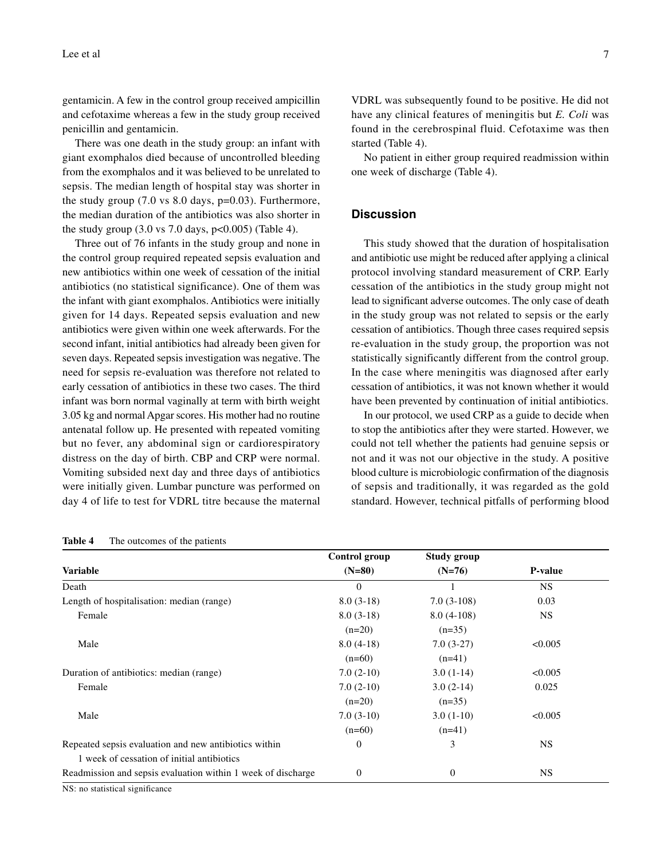gentamicin. A few in the control group received ampicillin and cefotaxime whereas a few in the study group received penicillin and gentamicin.

There was one death in the study group: an infant with giant exomphalos died because of uncontrolled bleeding from the exomphalos and it was believed to be unrelated to sepsis. The median length of hospital stay was shorter in the study group  $(7.0 \text{ vs } 8.0 \text{ days}, \text{p=0.03})$ . Furthermore, the median duration of the antibiotics was also shorter in the study group  $(3.0 \text{ vs } 7.0 \text{ days}, \text{ p} < 0.005)$  (Table 4).

Three out of 76 infants in the study group and none in the control group required repeated sepsis evaluation and new antibiotics within one week of cessation of the initial antibiotics (no statistical significance). One of them was the infant with giant exomphalos. Antibiotics were initially given for 14 days. Repeated sepsis evaluation and new antibiotics were given within one week afterwards. For the second infant, initial antibiotics had already been given for seven days. Repeated sepsis investigation was negative. The need for sepsis re-evaluation was therefore not related to early cessation of antibiotics in these two cases. The third infant was born normal vaginally at term with birth weight 3.05 kg and normal Apgar scores. His mother had no routine antenatal follow up. He presented with repeated vomiting but no fever, any abdominal sign or cardiorespiratory distress on the day of birth. CBP and CRP were normal. Vomiting subsided next day and three days of antibiotics were initially given. Lumbar puncture was performed on day 4 of life to test for VDRL titre because the maternal

| Table 4 | The outcomes of the patients |  |  |
|---------|------------------------------|--|--|
|---------|------------------------------|--|--|

VDRL was subsequently found to be positive. He did not have any clinical features of meningitis but *E. Coli* was found in the cerebrospinal fluid. Cefotaxime was then started (Table 4).

No patient in either group required readmission within one week of discharge (Table 4).

#### **Discussion**

This study showed that the duration of hospitalisation and antibiotic use might be reduced after applying a clinical protocol involving standard measurement of CRP. Early cessation of the antibiotics in the study group might not lead to significant adverse outcomes. The only case of death in the study group was not related to sepsis or the early cessation of antibiotics. Though three cases required sepsis re-evaluation in the study group, the proportion was not statistically significantly different from the control group. In the case where meningitis was diagnosed after early cessation of antibiotics, it was not known whether it would have been prevented by continuation of initial antibiotics.

In our protocol, we used CRP as a guide to decide when to stop the antibiotics after they were started. However, we could not tell whether the patients had genuine sepsis or not and it was not our objective in the study. A positive blood culture is microbiologic confirmation of the diagnosis of sepsis and traditionally, it was regarded as the gold standard. However, technical pitfalls of performing blood

|                                                              | Control group    | Study group    |                |
|--------------------------------------------------------------|------------------|----------------|----------------|
| Variable                                                     | $(N=80)$         | $(N=76)$       | <b>P-value</b> |
| Death                                                        | $\mathbf{0}$     |                | NS.            |
| Length of hospitalisation: median (range)                    | $8.0(3-18)$      | $7.0(3-108)$   | 0.03           |
| Female                                                       | $8.0(3-18)$      | $8.0(4-108)$   | <b>NS</b>      |
|                                                              | $(n=20)$         | $(n=35)$       |                |
| Male                                                         | $8.0(4-18)$      | $7.0(3-27)$    | < 0.005        |
|                                                              | $(n=60)$         | $(n=41)$       |                |
| Duration of antibiotics: median (range)                      | $7.0(2-10)$      | $3.0(1-14)$    | < 0.005        |
| Female                                                       | $7.0(2-10)$      | $3.0(2-14)$    | 0.025          |
|                                                              | $(n=20)$         | $(n=35)$       |                |
| Male                                                         | $7.0(3-10)$      | $3.0(1-10)$    | < 0.005        |
|                                                              | $(n=60)$         | $(n=41)$       |                |
| Repeated sepsis evaluation and new antibiotics within        | $\mathbf{0}$     | 3              | <b>NS</b>      |
| 1 week of cessation of initial antibiotics                   |                  |                |                |
| Readmission and sepsis evaluation within 1 week of discharge | $\boldsymbol{0}$ | $\overline{0}$ | <b>NS</b>      |

NS: no statistical significance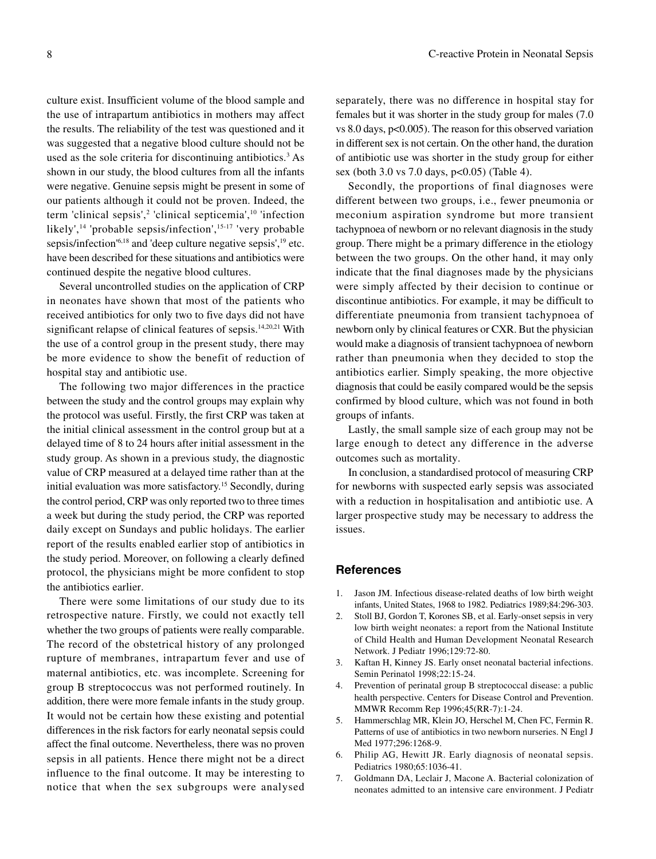culture exist. Insufficient volume of the blood sample and the use of intrapartum antibiotics in mothers may affect the results. The reliability of the test was questioned and it was suggested that a negative blood culture should not be used as the sole criteria for discontinuing antibiotics.<sup>3</sup> As shown in our study, the blood cultures from all the infants were negative. Genuine sepsis might be present in some of our patients although it could not be proven. Indeed, the term 'clinical sepsis',<sup>2</sup> 'clinical septicemia',<sup>10</sup> 'infection likely',<sup>14</sup> 'probable sepsis/infection',<sup>15-17</sup> 'very probable sepsis/infection $18$  and 'deep culture negative sepsis',  $19$  etc. have been described for these situations and antibiotics were continued despite the negative blood cultures.

Several uncontrolled studies on the application of CRP in neonates have shown that most of the patients who received antibiotics for only two to five days did not have significant relapse of clinical features of sepsis.<sup>14,20,21</sup> With the use of a control group in the present study, there may be more evidence to show the benefit of reduction of hospital stay and antibiotic use.

The following two major differences in the practice between the study and the control groups may explain why the protocol was useful. Firstly, the first CRP was taken at the initial clinical assessment in the control group but at a delayed time of 8 to 24 hours after initial assessment in the study group. As shown in a previous study, the diagnostic value of CRP measured at a delayed time rather than at the initial evaluation was more satisfactory.<sup>15</sup> Secondly, during the control period, CRP was only reported two to three times a week but during the study period, the CRP was reported daily except on Sundays and public holidays. The earlier report of the results enabled earlier stop of antibiotics in the study period. Moreover, on following a clearly defined protocol, the physicians might be more confident to stop the antibiotics earlier.

There were some limitations of our study due to its retrospective nature. Firstly, we could not exactly tell whether the two groups of patients were really comparable. The record of the obstetrical history of any prolonged rupture of membranes, intrapartum fever and use of maternal antibiotics, etc. was incomplete. Screening for group B streptococcus was not performed routinely. In addition, there were more female infants in the study group. It would not be certain how these existing and potential differences in the risk factors for early neonatal sepsis could affect the final outcome. Nevertheless, there was no proven sepsis in all patients. Hence there might not be a direct influence to the final outcome. It may be interesting to notice that when the sex subgroups were analysed

separately, there was no difference in hospital stay for females but it was shorter in the study group for males (7.0 vs 8.0 days,  $p<0.005$ ). The reason for this observed variation in different sex is not certain. On the other hand, the duration of antibiotic use was shorter in the study group for either sex (both 3.0 vs 7.0 days, p<0.05) (Table 4).

Secondly, the proportions of final diagnoses were different between two groups, i.e., fewer pneumonia or meconium aspiration syndrome but more transient tachypnoea of newborn or no relevant diagnosis in the study group. There might be a primary difference in the etiology between the two groups. On the other hand, it may only indicate that the final diagnoses made by the physicians were simply affected by their decision to continue or discontinue antibiotics. For example, it may be difficult to differentiate pneumonia from transient tachypnoea of newborn only by clinical features or CXR. But the physician would make a diagnosis of transient tachypnoea of newborn rather than pneumonia when they decided to stop the antibiotics earlier. Simply speaking, the more objective diagnosis that could be easily compared would be the sepsis confirmed by blood culture, which was not found in both groups of infants.

Lastly, the small sample size of each group may not be large enough to detect any difference in the adverse outcomes such as mortality.

In conclusion, a standardised protocol of measuring CRP for newborns with suspected early sepsis was associated with a reduction in hospitalisation and antibiotic use. A larger prospective study may be necessary to address the issues.

#### **References**

- 1. Jason JM. Infectious disease-related deaths of low birth weight infants, United States, 1968 to 1982. Pediatrics 1989;84:296-303.
- 2. Stoll BJ, Gordon T, Korones SB, et al. Early-onset sepsis in very low birth weight neonates: a report from the National Institute of Child Health and Human Development Neonatal Research Network. J Pediatr 1996;129:72-80.
- 3. Kaftan H, Kinney JS. Early onset neonatal bacterial infections. Semin Perinatol 1998;22:15-24.
- 4. Prevention of perinatal group B streptococcal disease: a public health perspective. Centers for Disease Control and Prevention. MMWR Recomm Rep 1996;45(RR-7):1-24.
- 5. Hammerschlag MR, Klein JO, Herschel M, Chen FC, Fermin R. Patterns of use of antibiotics in two newborn nurseries. N Engl J Med 1977;296:1268-9.
- 6. Philip AG, Hewitt JR. Early diagnosis of neonatal sepsis. Pediatrics 1980;65:1036-41.
- 7. Goldmann DA, Leclair J, Macone A. Bacterial colonization of neonates admitted to an intensive care environment. J Pediatr